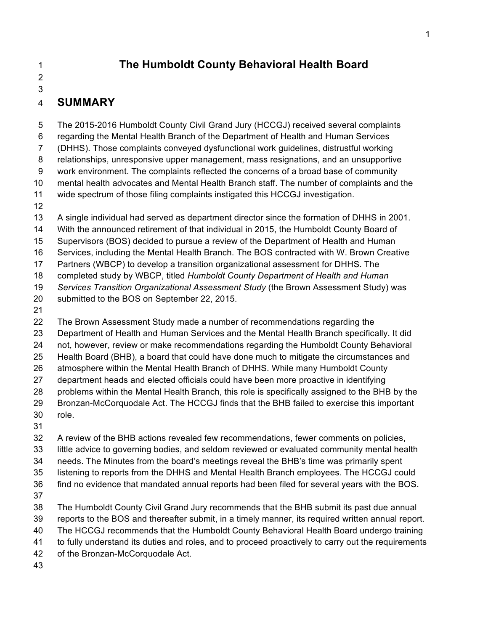### **The Humboldt County Behavioral Health Board**

## 

#### 

#### **SUMMARY**

 The 2015-2016 Humboldt County Civil Grand Jury (HCCGJ) received several complaints regarding the Mental Health Branch of the Department of Health and Human Services (DHHS). Those complaints conveyed dysfunctional work guidelines, distrustful working relationships, unresponsive upper management, mass resignations, and an unsupportive work environment. The complaints reflected the concerns of a broad base of community mental health advocates and Mental Health Branch staff. The number of complaints and the wide spectrum of those filing complaints instigated this HCCGJ investigation. A single individual had served as department director since the formation of DHHS in 2001.

 With the announced retirement of that individual in 2015, the Humboldt County Board of Supervisors (BOS) decided to pursue a review of the Department of Health and Human

Services, including the Mental Health Branch. The BOS contracted with W. Brown Creative

Partners (WBCP) to develop a transition organizational assessment for DHHS. The

completed study by WBCP, titled *Humboldt County Department of Health and Human* 

*Services Transition Organizational Assessment Study* (the Brown Assessment Study) was

- submitted to the BOS on September 22, 2015.
- 

 The Brown Assessment Study made a number of recommendations regarding the Department of Health and Human Services and the Mental Health Branch specifically. It did not, however, review or make recommendations regarding the Humboldt County Behavioral Health Board (BHB), a board that could have done much to mitigate the circumstances and atmosphere within the Mental Health Branch of DHHS. While many Humboldt County department heads and elected officials could have been more proactive in identifying problems within the Mental Health Branch, this role is specifically assigned to the BHB by the Bronzan-McCorquodale Act. The HCCGJ finds that the BHB failed to exercise this important role. 

 A review of the BHB actions revealed few recommendations, fewer comments on policies, little advice to governing bodies, and seldom reviewed or evaluated community mental health needs. The Minutes from the board's meetings reveal the BHB's time was primarily spent listening to reports from the DHHS and Mental Health Branch employees. The HCCGJ could find no evidence that mandated annual reports had been filed for several years with the BOS. The Humboldt County Civil Grand Jury recommends that the BHB submit its past due annual reports to the BOS and thereafter submit, in a timely manner, its required written annual report. The HCCGJ recommends that the Humboldt County Behavioral Health Board undergo training to fully understand its duties and roles, and to proceed proactively to carry out the requirements

- of the Bronzan-McCorquodale Act.
-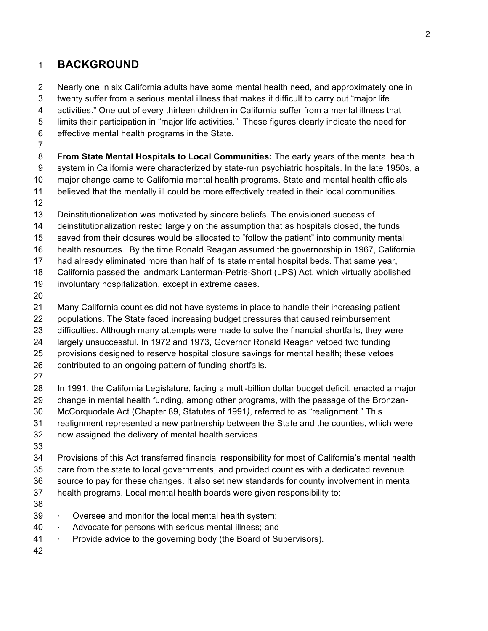### **BACKGROUND**

 Nearly one in six California adults have some mental health need, and approximately one in twenty suffer from a serious mental illness that makes it difficult to carry out "major life activities." One out of every thirteen children in California suffer from a mental illness that limits their participation in "major life activities." These figures clearly indicate the need for effective mental health programs in the State. **From State Mental Hospitals to Local Communities:** The early years of the mental health system in California were characterized by state-run psychiatric hospitals. In the late 1950s, a major change came to California mental health programs. State and mental health officials believed that the mentally ill could be more effectively treated in their local communities. Deinstitutionalization was motivated by sincere beliefs. The envisioned success of

 deinstitutionalization rested largely on the assumption that as hospitals closed, the funds saved from their closures would be allocated to "follow the patient" into community mental health resources. By the time Ronald Reagan assumed the governorship in 1967, California had already eliminated more than half of its state mental hospital beds. That same year, California passed the landmark Lanterman-Petris-Short (LPS) Act, which virtually abolished

- involuntary hospitalization, except in extreme cases.
- 

 Many California counties did not have systems in place to handle their increasing patient populations. The State faced increasing budget pressures that caused reimbursement difficulties. Although many attempts were made to solve the financial shortfalls, they were largely unsuccessful. In 1972 and 1973, Governor Ronald Reagan vetoed two funding provisions designed to reserve hospital closure savings for mental health; these vetoes contributed to an ongoing pattern of funding shortfalls.

 In 1991, the California Legislature, facing a multi-billion dollar budget deficit, enacted a major change in mental health funding, among other programs, with the passage of the Bronzan-McCorquodale Act (Chapter 89, Statutes of 1991*)*, referred to as "realignment." This

- realignment represented a new partnership between the State and the counties, which were
- now assigned the delivery of mental health services.
- 

 Provisions of this Act transferred financial responsibility for most of California's mental health care from the state to local governments, and provided counties with a dedicated revenue source to pay for these changes. It also set new standards for county involvement in mental health programs. Local mental health boards were given responsibility to:

- 
- · Oversee and monitor the local mental health system;
- · Advocate for persons with serious mental illness; and
- 41 Provide advice to the governing body (the Board of Supervisors).
-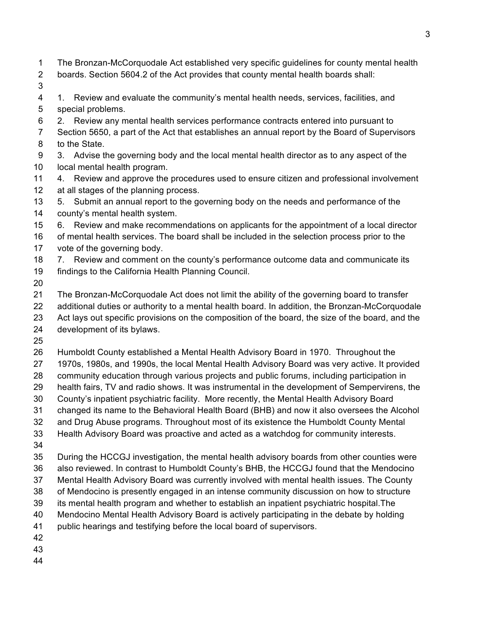- The Bronzan-McCorquodale Act established very specific guidelines for county mental health
- boards. Section 5604.2 of the Act provides that county mental health boards shall:
- 
- 1. Review and evaluate the community's mental health needs, services, facilities, and special problems.
- 2. Review any mental health services performance contracts entered into pursuant to
- Section 5650, a part of the Act that establishes an annual report by the Board of Supervisors to the State.
- 3. Advise the governing body and the local mental health director as to any aspect of the local mental health program.
- 4. Review and approve the procedures used to ensure citizen and professional involvement at all stages of the planning process.
- 5. Submit an annual report to the governing body on the needs and performance of the county's mental health system.
- 6. Review and make recommendations on applicants for the appointment of a local director
- of mental health services. The board shall be included in the selection process prior to the vote of the governing body.
- 7. Review and comment on the county's performance outcome data and communicate its
- findings to the California Health Planning Council.
- 
- The Bronzan-McCorquodale Act does not limit the ability of the governing board to transfer additional duties or authority to a mental health board. In addition, the Bronzan-McCorquodale Act lays out specific provisions on the composition of the board, the size of the board, and the development of its bylaws.
- 
- Humboldt County established a Mental Health Advisory Board in 1970. Throughout the
- 1970s, 1980s, and 1990s, the local Mental Health Advisory Board was very active. It provided
- community education through various projects and public forums, including participation in
- health fairs, TV and radio shows. It was instrumental in the development of Sempervirens, the
- County's inpatient psychiatric facility. More recently, the Mental Health Advisory Board
- changed its name to the Behavioral Health Board (BHB) and now it also oversees the Alcohol
- and Drug Abuse programs. Throughout most of its existence the Humboldt County Mental Health Advisory Board was proactive and acted as a watchdog for community interests.
- 
- During the HCCGJ investigation, the mental health advisory boards from other counties were
- also reviewed. In contrast to Humboldt County's BHB, the HCCGJ found that the Mendocino
- Mental Health Advisory Board was currently involved with mental health issues. The County
- of Mendocino is presently engaged in an intense community discussion on how to structure
- its mental health program and whether to establish an inpatient psychiatric hospital.The
- Mendocino Mental Health Advisory Board is actively participating in the debate by holding
- public hearings and testifying before the local board of supervisors.
- 
- 
-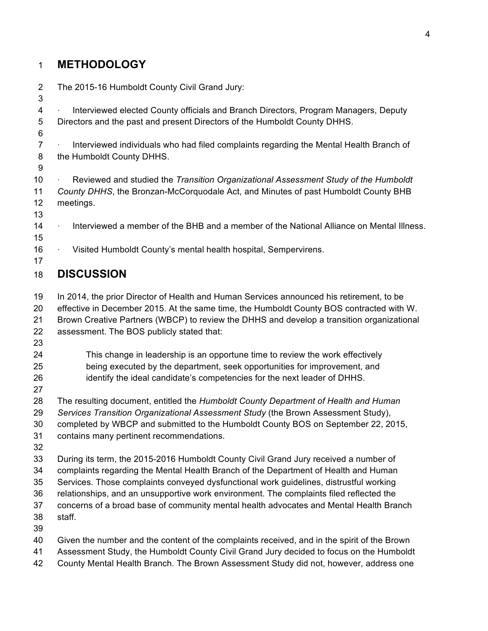# **METHODOLOGY**

| $\overline{2}$<br>3 | The 2015-16 Humboldt County Civil Grand Jury:                                               |
|---------------------|---------------------------------------------------------------------------------------------|
| 4                   | Interviewed elected County officials and Branch Directors, Program Managers, Deputy         |
| 5                   | Directors and the past and present Directors of the Humboldt County DHHS.                   |
| 6<br>$\overline{7}$ | Interviewed individuals who had filed complaints regarding the Mental Health Branch of      |
| 8                   | the Humboldt County DHHS.                                                                   |
| 9                   |                                                                                             |
| 10                  | Reviewed and studied the Transition Organizational Assessment Study of the Humboldt         |
| 11                  | County DHHS, the Bronzan-McCorquodale Act, and Minutes of past Humboldt County BHB          |
| 12                  | meetings.                                                                                   |
| 13                  |                                                                                             |
| 14                  | Interviewed a member of the BHB and a member of the National Alliance on Mental Illness.    |
| 15                  |                                                                                             |
| 16                  | Visited Humboldt County's mental health hospital, Sempervirens.                             |
| 17                  |                                                                                             |
| 18                  | <b>DISCUSSION</b>                                                                           |
| 19                  | In 2014, the prior Director of Health and Human Services announced his retirement, to be    |
| 20                  | effective in December 2015. At the same time, the Humboldt County BOS contracted with W.    |
| 21                  | Brown Creative Partners (WBCP) to review the DHHS and develop a transition organizational   |
| 22                  | assessment. The BOS publicly stated that:                                                   |
| 23                  |                                                                                             |
| 24                  | This change in leadership is an opportune time to review the work effectively               |
| 25                  | being executed by the department, seek opportunities for improvement, and                   |
| 26                  | identify the ideal candidate's competencies for the next leader of DHHS.                    |
| 27                  |                                                                                             |
| 28                  | The resulting document, entitled the Humboldt County Department of Health and Human         |
| 29                  | Services Transition Organizational Assessment Study (the Brown Assessment Study),           |
| 30                  | completed by WBCP and submitted to the Humboldt County BOS on September 22, 2015,           |
| 31                  | contains many pertinent recommendations.                                                    |
| 32                  |                                                                                             |
| 33                  | During its term, the 2015-2016 Humboldt County Civil Grand Jury received a number of        |
| 34                  | complaints regarding the Mental Health Branch of the Department of Health and Human         |
| 35                  | Services. Those complaints conveyed dysfunctional work guidelines, distrustful working      |
| 36                  | relationships, and an unsupportive work environment. The complaints filed reflected the     |
| 37                  | concerns of a broad base of community mental health advocates and Mental Health Branch      |
| 38                  | staff.                                                                                      |
| 39                  |                                                                                             |
| 40                  | Given the number and the content of the complaints received, and in the spirit of the Brown |
| 41                  | Assessment Study, the Humboldt County Civil Grand Jury decided to focus on the Humboldt     |
| 42                  | County Mental Health Branch. The Brown Assessment Study did not, however, address one       |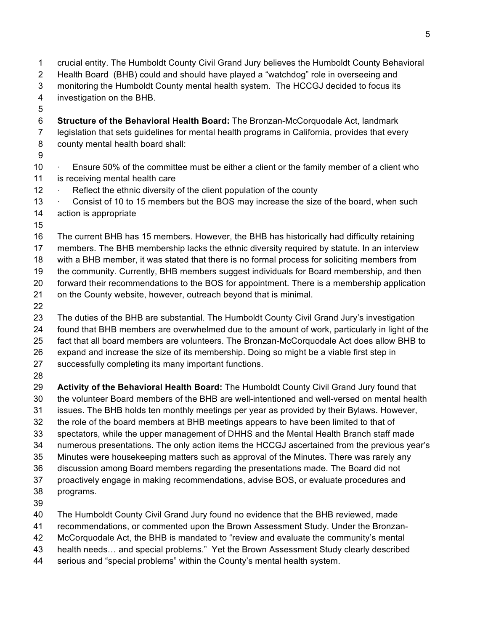Health Board (BHB) could and should have played a "watchdog" role in overseeing and monitoring the Humboldt County mental health system. The HCCGJ decided to focus its investigation on the BHB. **Structure of the Behavioral Health Board:** The Bronzan-McCorquodale Act, landmark legislation that sets guidelines for mental health programs in California, provides that every county mental health board shall: 10 • Ensure 50% of the committee must be either a client or the family member of a client who is receiving mental health care 12 • Reflect the ethnic diversity of the client population of the county · Consist of 10 to 15 members but the BOS may increase the size of the board, when such action is appropriate The current BHB has 15 members. However, the BHB has historically had difficulty retaining members. The BHB membership lacks the ethnic diversity required by statute. In an interview with a BHB member, it was stated that there is no formal process for soliciting members from the community. Currently, BHB members suggest individuals for Board membership, and then forward their recommendations to the BOS for appointment. There is a membership application on the County website, however, outreach beyond that is minimal. The duties of the BHB are substantial. The Humboldt County Civil Grand Jury's investigation found that BHB members are overwhelmed due to the amount of work, particularly in light of the fact that all board members are volunteers. The Bronzan-McCorquodale Act does allow BHB to expand and increase the size of its membership. Doing so might be a viable first step in successfully completing its many important functions. **Activity of the Behavioral Health Board:** The Humboldt County Civil Grand Jury found that the volunteer Board members of the BHB are well-intentioned and well-versed on mental health issues. The BHB holds ten monthly meetings per year as provided by their Bylaws. However, the role of the board members at BHB meetings appears to have been limited to that of spectators, while the upper management of DHHS and the Mental Health Branch staff made numerous presentations. The only action items the HCCGJ ascertained from the previous year's Minutes were housekeeping matters such as approval of the Minutes. There was rarely any discussion among Board members regarding the presentations made. The Board did not proactively engage in making recommendations, advise BOS, or evaluate procedures and programs. The Humboldt County Civil Grand Jury found no evidence that the BHB reviewed, made recommendations, or commented upon the Brown Assessment Study. Under the Bronzan- McCorquodale Act, the BHB is mandated to "review and evaluate the community's mental health needs… and special problems." Yet the Brown Assessment Study clearly described serious and "special problems" within the County's mental health system.

crucial entity. The Humboldt County Civil Grand Jury believes the Humboldt County Behavioral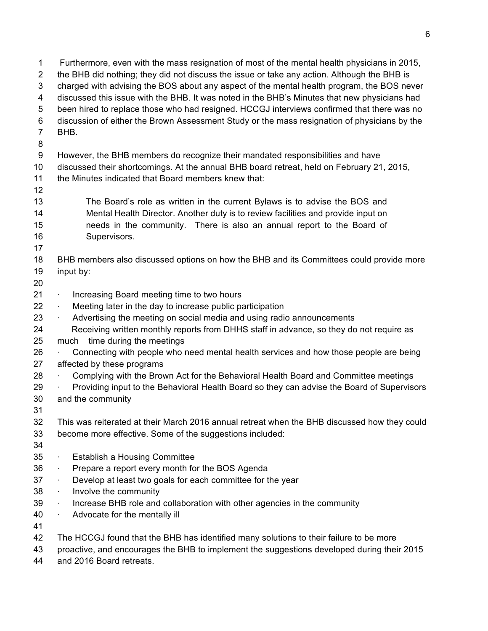| 1              | Furthermore, even with the mass resignation of most of the mental health physicians in 2015, |
|----------------|----------------------------------------------------------------------------------------------|
| 2              | the BHB did nothing; they did not discuss the issue or take any action. Although the BHB is  |
| 3              | charged with advising the BOS about any aspect of the mental health program, the BOS never   |
| 4              | discussed this issue with the BHB. It was noted in the BHB's Minutes that new physicians had |
| 5              | been hired to replace those who had resigned. HCCGJ interviews confirmed that there was no   |
| 6              | discussion of either the Brown Assessment Study or the mass resignation of physicians by the |
| $\overline{7}$ | BHB.                                                                                         |
| 8              |                                                                                              |
| 9              | However, the BHB members do recognize their mandated responsibilities and have               |
| 10             | discussed their shortcomings. At the annual BHB board retreat, held on February 21, 2015,    |
| 11             | the Minutes indicated that Board members knew that:                                          |
| 12             |                                                                                              |
| 13             | The Board's role as written in the current Bylaws is to advise the BOS and                   |
| 14             | Mental Health Director. Another duty is to review facilities and provide input on            |
| 15             | needs in the community. There is also an annual report to the Board of                       |
| 16             | Supervisors.                                                                                 |
| 17             |                                                                                              |
| 18<br>19       | BHB members also discussed options on how the BHB and its Committees could provide more      |
| 20             | input by:                                                                                    |
| 21             | Increasing Board meeting time to two hours                                                   |
| 22             | Meeting later in the day to increase public participation                                    |
| 23             | Advertising the meeting on social media and using radio announcements<br>×                   |
| 24             | Receiving written monthly reports from DHHS staff in advance, so they do not require as      |
| 25             | time during the meetings<br>much                                                             |
| 26             | Connecting with people who need mental health services and how those people are being        |
| 27             | affected by these programs                                                                   |
| 28             | Complying with the Brown Act for the Behavioral Health Board and Committee meetings          |
| 29             | Providing input to the Behavioral Health Board so they can advise the Board of Supervisors   |
| 30             | and the community                                                                            |
| 31             |                                                                                              |
| 32             | This was reiterated at their March 2016 annual retreat when the BHB discussed how they could |
| 33             | become more effective. Some of the suggestions included:                                     |
| 34             |                                                                                              |
| 35             | <b>Establish a Housing Committee</b><br>$\bullet$                                            |
| 36             | Prepare a report every month for the BOS Agenda<br>٠                                         |
| 37             | Develop at least two goals for each committee for the year<br>۰                              |
| 38             | Involve the community<br>×.                                                                  |
| 39             | Increase BHB role and collaboration with other agencies in the community<br>$\bullet$        |
| 40             | Advocate for the mentally ill<br>٠                                                           |
| 41             |                                                                                              |
| 42             | The HCCGJ found that the BHB has identified many solutions to their failure to be more       |
| 43             | proactive, and encourages the BHB to implement the suggestions developed during their 2015   |
| 44             | and 2016 Board retreats.                                                                     |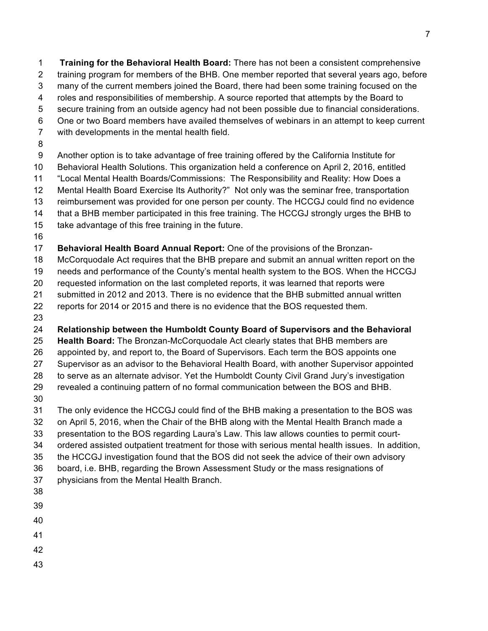**Training for the Behavioral Health Board:** There has not been a consistent comprehensive training program for members of the BHB. One member reported that several years ago, before many of the current members joined the Board, there had been some training focused on the roles and responsibilities of membership. A source reported that attempts by the Board to secure training from an outside agency had not been possible due to financial considerations. One or two Board members have availed themselves of webinars in an attempt to keep current with developments in the mental health field. Another option is to take advantage of free training offered by the California Institute for Behavioral Health Solutions. This organization held a conference on April 2, 2016, entitled "Local Mental Health Boards/Commissions: The Responsibility and Reality: How Does a Mental Health Board Exercise Its Authority?" Not only was the seminar free, transportation reimbursement was provided for one person per county. The HCCGJ could find no evidence that a BHB member participated in this free training. The HCCGJ strongly urges the BHB to

- take advantage of this free training in the future.
- 

**Behavioral Health Board Annual Report:** One of the provisions of the Bronzan-

McCorquodale Act requires that the BHB prepare and submit an annual written report on the

needs and performance of the County's mental health system to the BOS. When the HCCGJ

requested information on the last completed reports, it was learned that reports were

submitted in 2012 and 2013. There is no evidence that the BHB submitted annual written

reports for 2014 or 2015 and there is no evidence that the BOS requested them.

**Relationship between the Humboldt County Board of Supervisors and the Behavioral** 

**Health Board:** The Bronzan-McCorquodale Act clearly states that BHB members are

appointed by, and report to, the Board of Supervisors. Each term the BOS appoints one

Supervisor as an advisor to the Behavioral Health Board, with another Supervisor appointed

to serve as an alternate advisor. Yet the Humboldt County Civil Grand Jury's investigation

revealed a continuing pattern of no formal communication between the BOS and BHB.

 The only evidence the HCCGJ could find of the BHB making a presentation to the BOS was on April 5, 2016, when the Chair of the BHB along with the Mental Health Branch made a presentation to the BOS regarding Laura's Law. This law allows counties to permit court- ordered assisted outpatient treatment for those with serious mental health issues. In addition, the HCCGJ investigation found that the BOS did not seek the advice of their own advisory board, i.e. BHB, regarding the Brown Assessment Study or the mass resignations of physicians from the Mental Health Branch.

- 
- 
- 
- 
- 
-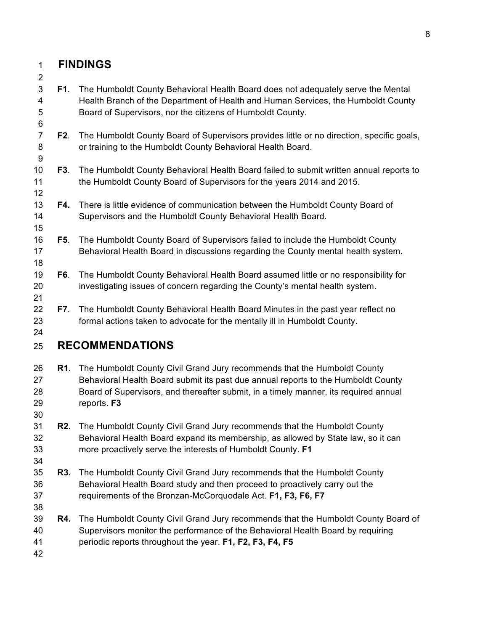#### **FINDINGS**

 **F1**. The Humboldt County Behavioral Health Board does not adequately serve the Mental Health Branch of the Department of Health and Human Services, the Humboldt County Board of Supervisors, nor the citizens of Humboldt County. **F2**. The Humboldt County Board of Supervisors provides little or no direction, specific goals, or training to the Humboldt County Behavioral Health Board. **F3**. The Humboldt County Behavioral Health Board failed to submit written annual reports to the Humboldt County Board of Supervisors for the years 2014 and 2015. **F4.** There is little evidence of communication between the Humboldt County Board of Supervisors and the Humboldt County Behavioral Health Board. **F5**. The Humboldt County Board of Supervisors failed to include the Humboldt County Behavioral Health Board in discussions regarding the County mental health system. **F6**. The Humboldt County Behavioral Health Board assumed little or no responsibility for investigating issues of concern regarding the County's mental health system. **F7**. The Humboldt County Behavioral Health Board Minutes in the past year reflect no formal actions taken to advocate for the mentally ill in Humboldt County. **RECOMMENDATIONS R1.** The Humboldt County Civil Grand Jury recommends that the Humboldt County Behavioral Health Board submit its past due annual reports to the Humboldt County Board of Supervisors, and thereafter submit, in a timely manner, its required annual reports. **F3 R2.** The Humboldt County Civil Grand Jury recommends that the Humboldt County Behavioral Health Board expand its membership, as allowed by State law, so it can more proactively serve the interests of Humboldt County. **F1 R3.** The Humboldt County Civil Grand Jury recommends that the Humboldt County Behavioral Health Board study and then proceed to proactively carry out the requirements of the Bronzan-McCorquodale Act. **F1, F3, F6, F7 R4.** The Humboldt County Civil Grand Jury recommends that the Humboldt County Board of Supervisors monitor the performance of the Behavioral Health Board by requiring periodic reports throughout the year. **F1, F2, F3, F4, F5**